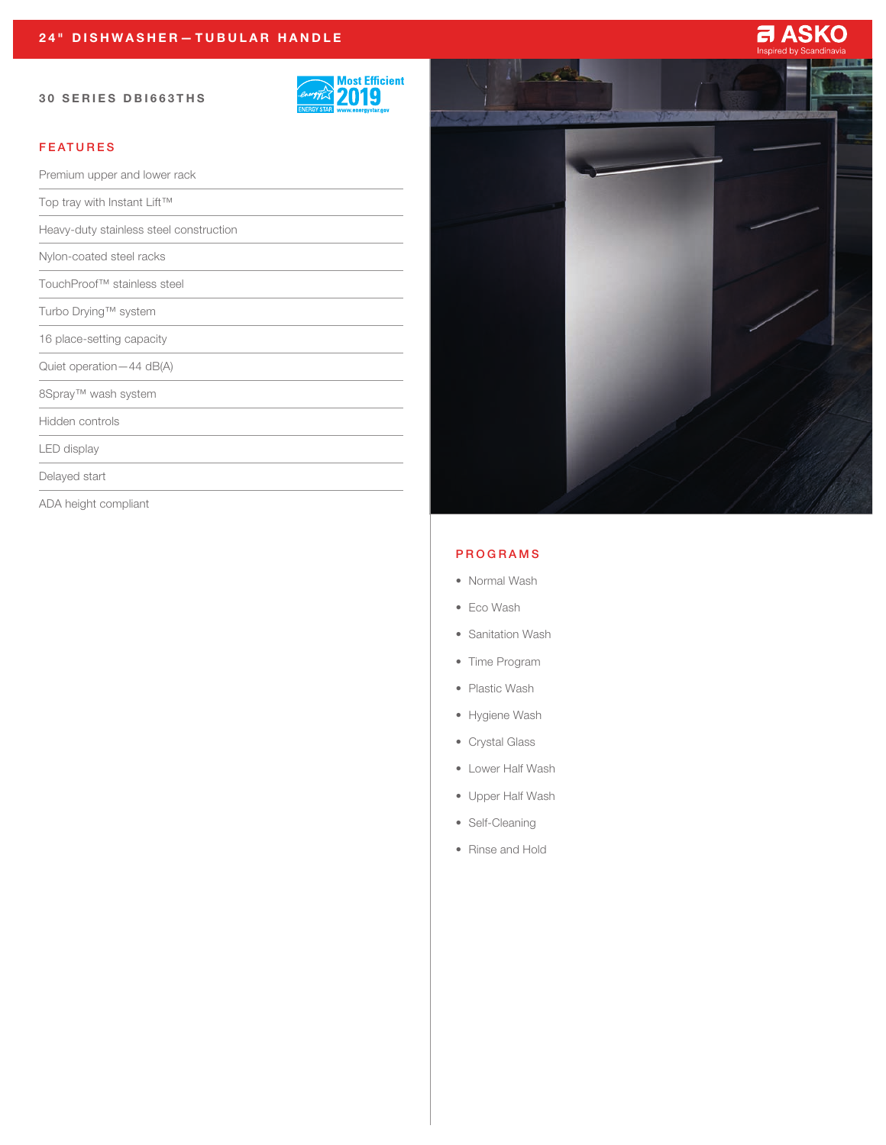#### 30 SERIES DBI663THS



## FEATURES

Premium upper and lower rack Top tray with Instant Lift™ Heavy-duty stainless steel construction Nylon-coated steel racks TouchProof™ stainless steel Turbo Drying™ system 16 place-setting capacity Quiet operation—44 dB(A) 8Spray™ wash system Hidden controls LED display Delayed start ADA height compliant



#### PROGRAMS

- Normal Wash
- Eco Wash
- Sanitation Wash
- Time Program
- Plastic Wash
- Hygiene Wash
- Crystal Glass
- Lower Half Wash
- Upper Half Wash
- Self-Cleaning
- Rinse and Hold